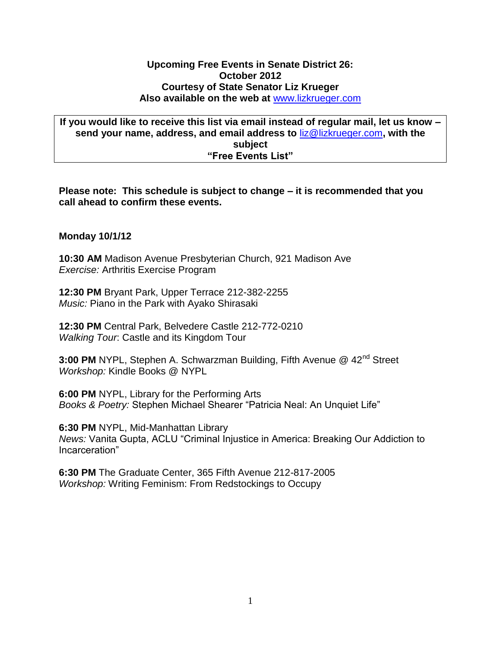## **Upcoming Free Events in Senate District 26: October 2012 Courtesy of State Senator Liz Krueger Also available on the web at** [www.lizkrueger.com](http://www.lizkrueger.com/)

**If you would like to receive this list via email instead of regular mail, let us know – send your name, address, and email address to** [liz@lizkrueger.com](mailto:liz@lizkrueger.com)**, with the subject "Free Events List"**

**Please note: This schedule is subject to change – it is recommended that you call ahead to confirm these events.**

# **Monday 10/1/12**

**10:30 AM** Madison Avenue Presbyterian Church, 921 Madison Ave *Exercise:* Arthritis Exercise Program

**12:30 PM** Bryant Park, Upper Terrace 212-382-2255 *Music:* Piano in the Park with Ayako Shirasaki

**12:30 PM** Central Park, Belvedere Castle 212-772-0210 *Walking Tour*: Castle and its Kingdom Tour

**3:00 PM** NYPL, Stephen A. Schwarzman Building, Fifth Avenue @ 42nd Street *Workshop:* Kindle Books @ NYPL

**6:00 PM** NYPL, Library for the Performing Arts *Books & Poetry:* Stephen Michael Shearer "Patricia Neal: An Unquiet Life"

**6:30 PM** NYPL, Mid-Manhattan Library *News:* Vanita Gupta, ACLU "Criminal Injustice in America: Breaking Our Addiction to Incarceration"

**6:30 PM** The Graduate Center, 365 Fifth Avenue 212-817-2005 *Workshop:* Writing Feminism: From Redstockings to Occupy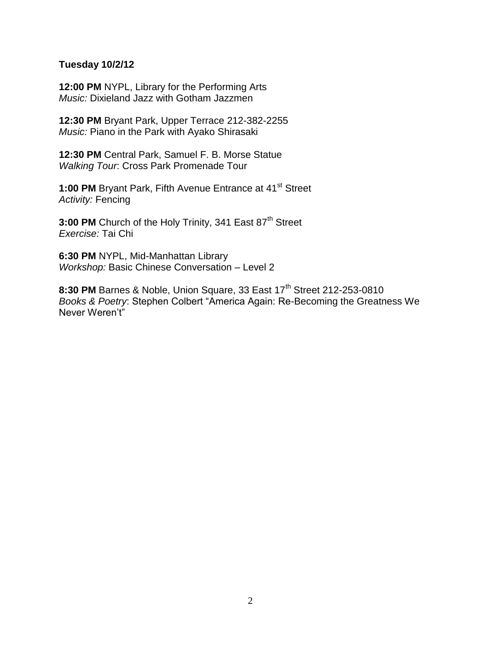## **Tuesday 10/2/12**

**12:00 PM** NYPL, Library for the Performing Arts *Music:* Dixieland Jazz with Gotham Jazzmen

**12:30 PM** Bryant Park, Upper Terrace 212-382-2255 *Music:* Piano in the Park with Ayako Shirasaki

**12:30 PM** Central Park, Samuel F. B. Morse Statue *Walking Tour*: Cross Park Promenade Tour

1:00 PM Bryant Park, Fifth Avenue Entrance at 41<sup>st</sup> Street *Activity:* Fencing

**3:00 PM** Church of the Holy Trinity, 341 East 87<sup>th</sup> Street *Exercise:* Tai Chi

**6:30 PM** NYPL, Mid-Manhattan Library *Workshop:* Basic Chinese Conversation – Level 2

**8:30 PM** Barnes & Noble, Union Square, 33 East 17<sup>th</sup> Street 212-253-0810 *Books & Poetry*: Stephen Colbert "America Again: Re-Becoming the Greatness We Never Weren't"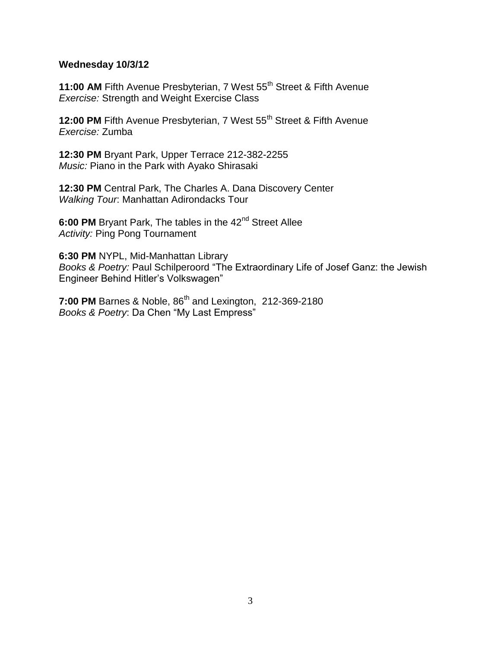## **Wednesday 10/3/12**

**11:00 AM Fifth Avenue Presbyterian, 7 West 55<sup>th</sup> Street & Fifth Avenue** *Exercise:* Strength and Weight Exercise Class

**12:00 PM** Fifth Avenue Presbyterian, 7 West 55<sup>th</sup> Street & Fifth Avenue *Exercise:* Zumba

**12:30 PM** Bryant Park, Upper Terrace 212-382-2255 *Music:* Piano in the Park with Ayako Shirasaki

**12:30 PM** Central Park, The Charles A. Dana Discovery Center *Walking Tour*: Manhattan Adirondacks Tour

**6:00 PM** Bryant Park, The tables in the 42<sup>nd</sup> Street Allee *Activity:* Ping Pong Tournament

**6:30 PM** NYPL, Mid-Manhattan Library *Books & Poetry:* Paul Schilperoord "The Extraordinary Life of Josef Ganz: the Jewish Engineer Behind Hitler's Volkswagen"

**7:00 PM** Barnes & Noble, 86<sup>th</sup> and Lexington, 212-369-2180 *Books & Poetry*: Da Chen "My Last Empress"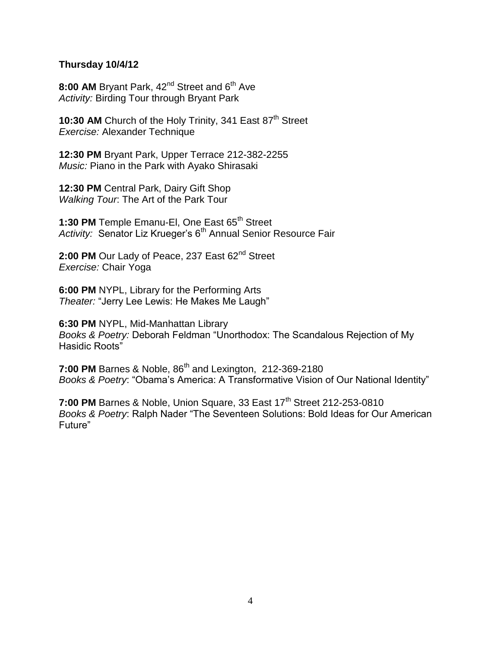# **Thursday 10/4/12**

8:00 AM Bryant Park, 42<sup>nd</sup> Street and 6<sup>th</sup> Ave *Activity:* Birding Tour through Bryant Park

10:30 AM Church of the Holy Trinity, 341 East 87<sup>th</sup> Street *Exercise:* Alexander Technique

**12:30 PM** Bryant Park, Upper Terrace 212-382-2255 *Music:* Piano in the Park with Ayako Shirasaki

**12:30 PM** Central Park, Dairy Gift Shop *Walking Tour*: The Art of the Park Tour

1:30 PM Temple Emanu-EI, One East 65<sup>th</sup> Street Activity: Senator Liz Krueger's 6<sup>th</sup> Annual Senior Resource Fair

2:00 PM Our Lady of Peace, 237 East 62<sup>nd</sup> Street *Exercise:* Chair Yoga

**6:00 PM** NYPL, Library for the Performing Arts *Theater:* "Jerry Lee Lewis: He Makes Me Laugh"

**6:30 PM** NYPL, Mid-Manhattan Library *Books & Poetry:* Deborah Feldman "Unorthodox: The Scandalous Rejection of My Hasidic Roots"

**7:00 PM** Barnes & Noble, 86<sup>th</sup> and Lexington, 212-369-2180 *Books & Poetry*: "Obama's America: A Transformative Vision of Our National Identity"

**7:00 PM** Barnes & Noble, Union Square, 33 East 17<sup>th</sup> Street 212-253-0810 *Books & Poetry*: Ralph Nader "The Seventeen Solutions: Bold Ideas for Our American Future"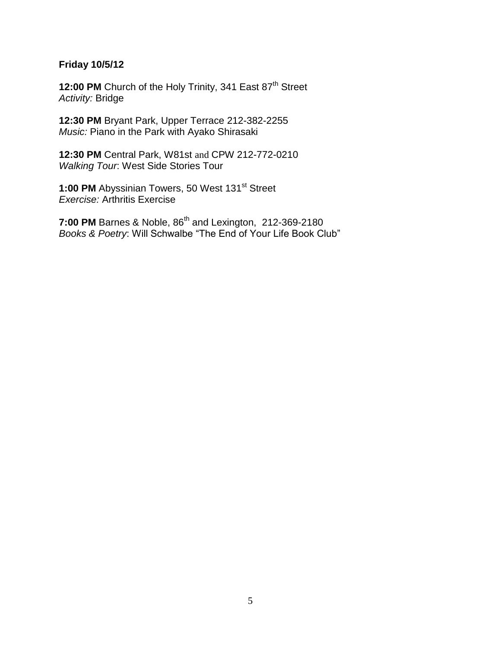# **Friday 10/5/12**

12:00 PM Church of the Holy Trinity, 341 East 87<sup>th</sup> Street *Activity:* Bridge

**12:30 PM** Bryant Park, Upper Terrace 212-382-2255 *Music:* Piano in the Park with Ayako Shirasaki

**12:30 PM** Central Park, W81st and CPW 212-772-0210 *Walking Tour*: West Side Stories Tour

1:00 PM Abyssinian Towers, 50 West 131<sup>st</sup> Street *Exercise:* Arthritis Exercise

**7:00 PM** Barnes & Noble, 86<sup>th</sup> and Lexington, 212-369-2180 *Books & Poetry*: Will Schwalbe "The End of Your Life Book Club"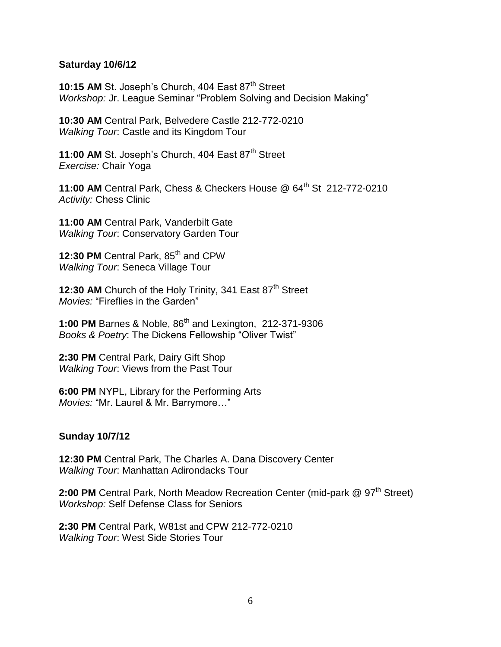### **Saturday 10/6/12**

**10:15 AM St. Joseph's Church, 404 East 87th Street** *Workshop:* Jr. League Seminar "Problem Solving and Decision Making"

**10:30 AM** Central Park, Belvedere Castle 212-772-0210 *Walking Tour*: Castle and its Kingdom Tour

**11:00 AM St. Joseph's Church, 404 East 87<sup>th</sup> Street** *Exercise:* Chair Yoga

**11:00 AM** Central Park, Chess & Checkers House @ 64th St 212-772-0210 *Activity:* Chess Clinic

**11:00 AM** Central Park, Vanderbilt Gate *Walking Tour*: Conservatory Garden Tour

12:30 PM Central Park, 85<sup>th</sup> and CPW *Walking Tour*: Seneca Village Tour

12:30 AM Church of the Holy Trinity, 341 East 87<sup>th</sup> Street *Movies:* "Fireflies in the Garden"

1:00 PM Barnes & Noble, 86<sup>th</sup> and Lexington, 212-371-9306 *Books & Poetry*: The Dickens Fellowship "Oliver Twist"

**2:30 PM** Central Park, Dairy Gift Shop *Walking Tour*: Views from the Past Tour

**6:00 PM** NYPL, Library for the Performing Arts *Movies:* "Mr. Laurel & Mr. Barrymore…"

# **Sunday 10/7/12**

**12:30 PM** Central Park, The Charles A. Dana Discovery Center *Walking Tour*: Manhattan Adirondacks Tour

**2:00 PM** Central Park, North Meadow Recreation Center (mid-park @ 97<sup>th</sup> Street) *Workshop:* Self Defense Class for Seniors

**2:30 PM** Central Park, W81st and CPW 212-772-0210 *Walking Tour*: West Side Stories Tour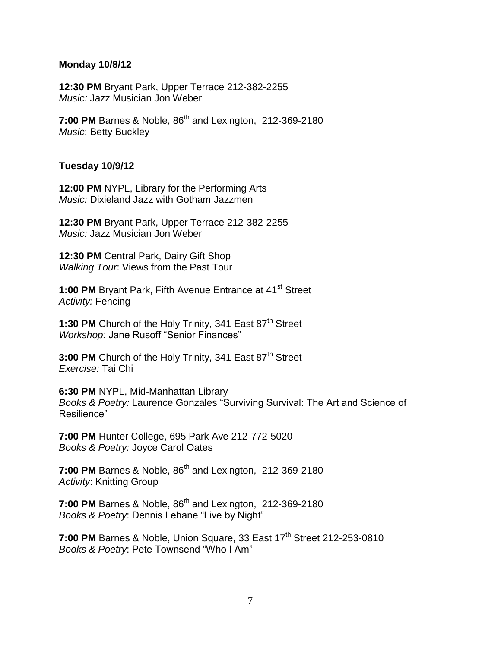#### **Monday 10/8/12**

**12:30 PM** Bryant Park, Upper Terrace 212-382-2255 *Music:* Jazz Musician Jon Weber

**7:00 PM** Barnes & Noble, 86<sup>th</sup> and Lexington, 212-369-2180 *Music*: Betty Buckley

### **Tuesday 10/9/12**

**12:00 PM** NYPL, Library for the Performing Arts *Music:* Dixieland Jazz with Gotham Jazzmen

**12:30 PM** Bryant Park, Upper Terrace 212-382-2255 *Music:* Jazz Musician Jon Weber

**12:30 PM** Central Park, Dairy Gift Shop *Walking Tour*: Views from the Past Tour

**1:00 PM** Bryant Park, Fifth Avenue Entrance at 41<sup>st</sup> Street *Activity:* Fencing

1:30 PM Church of the Holy Trinity, 341 East 87<sup>th</sup> Street *Workshop:* Jane Rusoff "Senior Finances"

**3:00 PM** Church of the Holy Trinity, 341 East 87<sup>th</sup> Street *Exercise:* Tai Chi

**6:30 PM** NYPL, Mid-Manhattan Library *Books & Poetry:* Laurence Gonzales "Surviving Survival: The Art and Science of Resilience"

**7:00 PM** Hunter College, 695 Park Ave 212-772-5020 *Books & Poetry:* Joyce Carol Oates

**7:00 PM** Barnes & Noble, 86<sup>th</sup> and Lexington, 212-369-2180 *Activity*: Knitting Group

**7:00 PM** Barnes & Noble, 86<sup>th</sup> and Lexington, 212-369-2180 *Books & Poetry*: Dennis Lehane "Live by Night"

**7:00 PM** Barnes & Noble, Union Square, 33 East 17<sup>th</sup> Street 212-253-0810 *Books & Poetry*: Pete Townsend "Who I Am"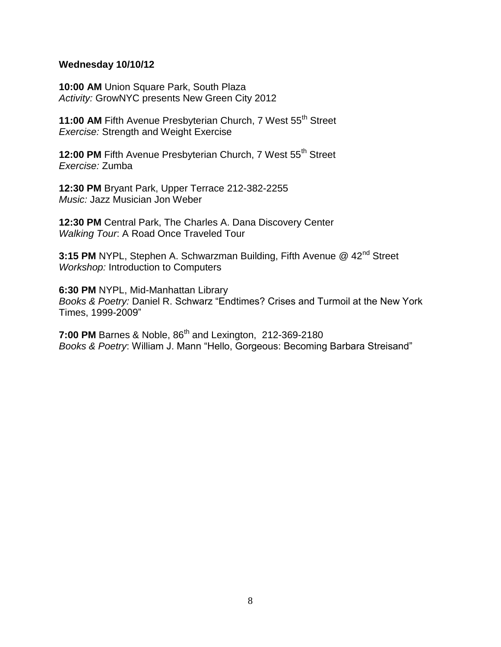## **Wednesday 10/10/12**

**10:00 AM** Union Square Park, South Plaza *Activity:* GrowNYC presents New Green City 2012

**11:00 AM Fifth Avenue Presbyterian Church, 7 West 55<sup>th</sup> Street** *Exercise:* Strength and Weight Exercise

**12:00 PM** Fifth Avenue Presbyterian Church, 7 West 55<sup>th</sup> Street *Exercise:* Zumba

**12:30 PM** Bryant Park, Upper Terrace 212-382-2255 *Music:* Jazz Musician Jon Weber

**12:30 PM** Central Park, The Charles A. Dana Discovery Center *Walking Tour*: A Road Once Traveled Tour

**3:15 PM** NYPL, Stephen A. Schwarzman Building, Fifth Avenue @ 42<sup>nd</sup> Street *Workshop:* Introduction to Computers

**6:30 PM** NYPL, Mid-Manhattan Library *Books & Poetry:* Daniel R. Schwarz "Endtimes? Crises and Turmoil at the New York Times, 1999-2009"

**7:00 PM** Barnes & Noble, 86<sup>th</sup> and Lexington, 212-369-2180 *Books & Poetry*: William J. Mann "Hello, Gorgeous: Becoming Barbara Streisand"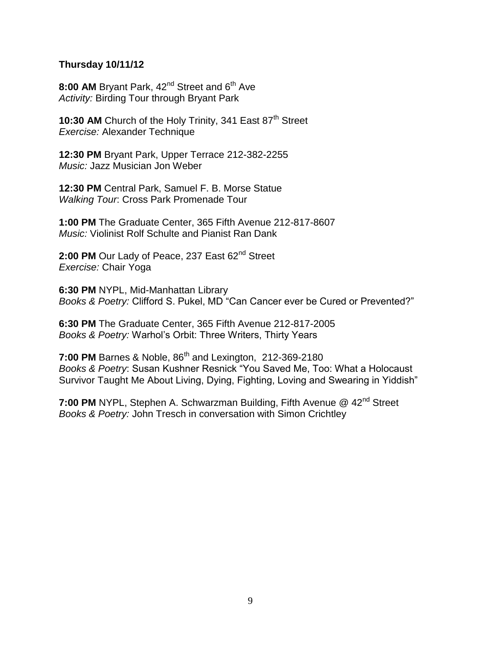# **Thursday 10/11/12**

8:00 AM Bryant Park, 42<sup>nd</sup> Street and 6<sup>th</sup> Ave *Activity:* Birding Tour through Bryant Park

10:30 AM Church of the Holy Trinity, 341 East 87<sup>th</sup> Street *Exercise:* Alexander Technique

**12:30 PM** Bryant Park, Upper Terrace 212-382-2255 *Music:* Jazz Musician Jon Weber

**12:30 PM** Central Park, Samuel F. B. Morse Statue *Walking Tour*: Cross Park Promenade Tour

**1:00 PM** The Graduate Center, 365 Fifth Avenue 212-817-8607 *Music:* Violinist Rolf Schulte and Pianist Ran Dank

2:00 PM Our Lady of Peace, 237 East 62<sup>nd</sup> Street *Exercise:* Chair Yoga

**6:30 PM** NYPL, Mid-Manhattan Library *Books & Poetry:* Clifford S. Pukel, MD "Can Cancer ever be Cured or Prevented?"

**6:30 PM** The Graduate Center, 365 Fifth Avenue 212-817-2005 *Books & Poetry:* Warhol's Orbit: Three Writers, Thirty Years

**7:00 PM** Barnes & Noble, 86<sup>th</sup> and Lexington, 212-369-2180 *Books & Poetry*: Susan Kushner Resnick "You Saved Me, Too: What a Holocaust Survivor Taught Me About Living, Dying, Fighting, Loving and Swearing in Yiddish"

**7:00 PM** NYPL, Stephen A. Schwarzman Building, Fifth Avenue @ 42<sup>nd</sup> Street *Books & Poetry:* John Tresch in conversation with Simon Crichtley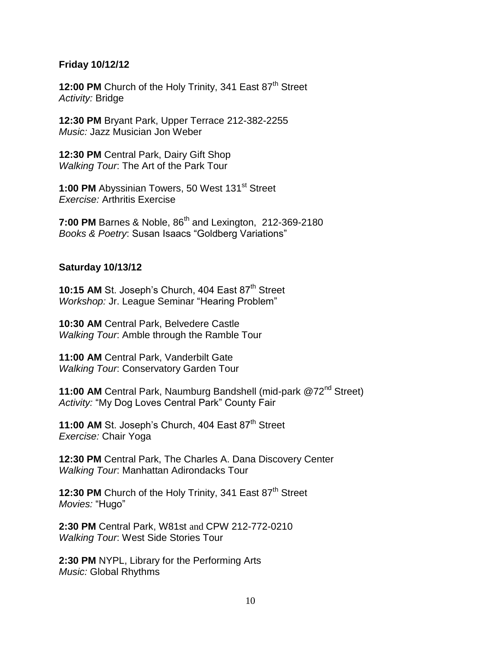### **Friday 10/12/12**

**12:00 PM** Church of the Holy Trinity, 341 East 87<sup>th</sup> Street *Activity:* Bridge

**12:30 PM** Bryant Park, Upper Terrace 212-382-2255 *Music:* Jazz Musician Jon Weber

**12:30 PM** Central Park, Dairy Gift Shop *Walking Tour*: The Art of the Park Tour

1:00 PM Abyssinian Towers, 50 West 131<sup>st</sup> Street *Exercise:* Arthritis Exercise

**7:00 PM** Barnes & Noble, 86<sup>th</sup> and Lexington, 212-369-2180 *Books & Poetry*: Susan Isaacs "Goldberg Variations"

## **Saturday 10/13/12**

10:15 AM St. Joseph's Church, 404 East 87<sup>th</sup> Street *Workshop:* Jr. League Seminar "Hearing Problem"

**10:30 AM** Central Park, Belvedere Castle *Walking Tour*: Amble through the Ramble Tour

**11:00 AM** Central Park, Vanderbilt Gate *Walking Tour*: Conservatory Garden Tour

11:00 AM Central Park, Naumburg Bandshell (mid-park @72<sup>nd</sup> Street) *Activity:* "My Dog Loves Central Park" County Fair

11:00 AM St. Joseph's Church, 404 East 87<sup>th</sup> Street *Exercise:* Chair Yoga

**12:30 PM** Central Park, The Charles A. Dana Discovery Center *Walking Tour*: Manhattan Adirondacks Tour

**12:30 PM** Church of the Holy Trinity, 341 East 87<sup>th</sup> Street *Movies:* "Hugo"

**2:30 PM** Central Park, W81st and CPW 212-772-0210 *Walking Tour*: West Side Stories Tour

**2:30 PM** NYPL, Library for the Performing Arts *Music:* Global Rhythms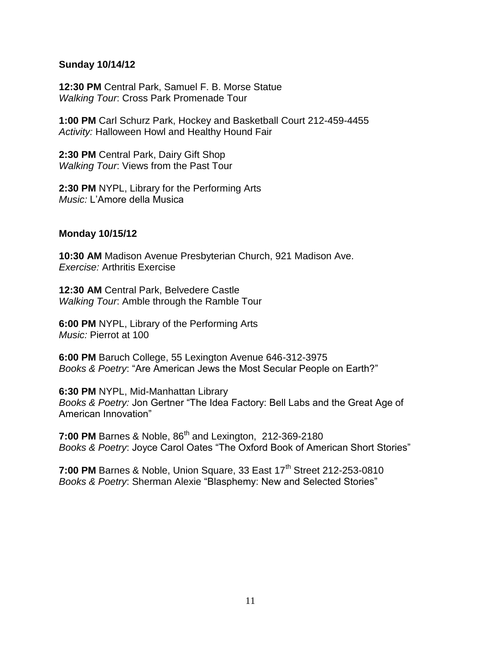## **Sunday 10/14/12**

**12:30 PM** Central Park, Samuel F. B. Morse Statue *Walking Tour*: Cross Park Promenade Tour

**1:00 PM** Carl Schurz Park, Hockey and Basketball Court 212-459-4455 *Activity:* Halloween Howl and Healthy Hound Fair

**2:30 PM** Central Park, Dairy Gift Shop *Walking Tour*: Views from the Past Tour

**2:30 PM** NYPL, Library for the Performing Arts *Music:* L'Amore della Musica

## **Monday 10/15/12**

**10:30 AM** Madison Avenue Presbyterian Church, 921 Madison Ave. *Exercise:* Arthritis Exercise

**12:30 AM** Central Park, Belvedere Castle *Walking Tour*: Amble through the Ramble Tour

**6:00 PM** NYPL, Library of the Performing Arts *Music:* Pierrot at 100

**6:00 PM** Baruch College, 55 Lexington Avenue 646-312-3975 *Books & Poetry*: "Are American Jews the Most Secular People on Earth?"

**6:30 PM** NYPL, Mid-Manhattan Library *Books & Poetry:* Jon Gertner "The Idea Factory: Bell Labs and the Great Age of American Innovation"

**7:00 PM** Barnes & Noble, 86<sup>th</sup> and Lexington, 212-369-2180 *Books & Poetry*: Joyce Carol Oates "The Oxford Book of American Short Stories"

**7:00 PM** Barnes & Noble, Union Square, 33 East 17<sup>th</sup> Street 212-253-0810 *Books & Poetry*: Sherman Alexie "Blasphemy: New and Selected Stories"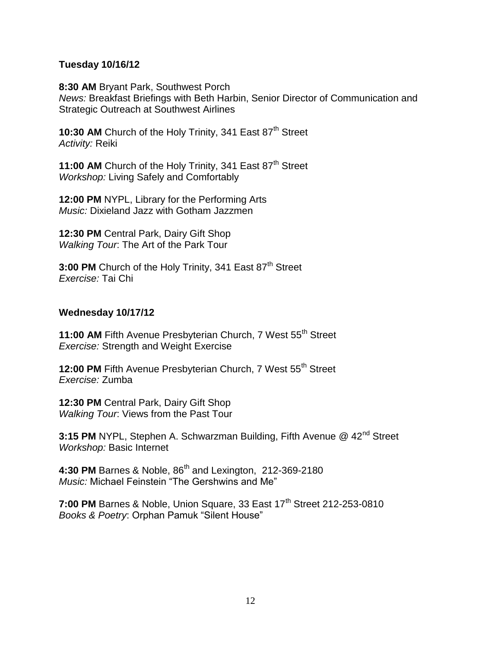# **Tuesday 10/16/12**

**8:30 AM** Bryant Park, Southwest Porch *News:* Breakfast Briefings with Beth Harbin, Senior Director of Communication and Strategic Outreach at Southwest Airlines

**10:30 AM** Church of the Holy Trinity, 341 East 87<sup>th</sup> Street *Activity:* Reiki

**11:00 AM** Church of the Holy Trinity, 341 East 87<sup>th</sup> Street *Workshop:* Living Safely and Comfortably

**12:00 PM** NYPL, Library for the Performing Arts *Music:* Dixieland Jazz with Gotham Jazzmen

**12:30 PM** Central Park, Dairy Gift Shop *Walking Tour*: The Art of the Park Tour

**3:00 PM** Church of the Holy Trinity, 341 East 87<sup>th</sup> Street *Exercise:* Tai Chi

# **Wednesday 10/17/12**

**11:00 AM** Fifth Avenue Presbyterian Church, 7 West 55<sup>th</sup> Street *Exercise:* Strength and Weight Exercise

12:00 PM Fifth Avenue Presbyterian Church, 7 West 55<sup>th</sup> Street *Exercise:* Zumba

**12:30 PM** Central Park, Dairy Gift Shop *Walking Tour*: Views from the Past Tour

**3:15 PM** NYPL, Stephen A. Schwarzman Building, Fifth Avenue @ 42<sup>nd</sup> Street *Workshop:* Basic Internet

4:30 PM Barnes & Noble, 86<sup>th</sup> and Lexington, 212-369-2180 *Music:* Michael Feinstein "The Gershwins and Me"

**7:00 PM** Barnes & Noble, Union Square, 33 East 17<sup>th</sup> Street 212-253-0810 *Books & Poetry*: Orphan Pamuk "Silent House"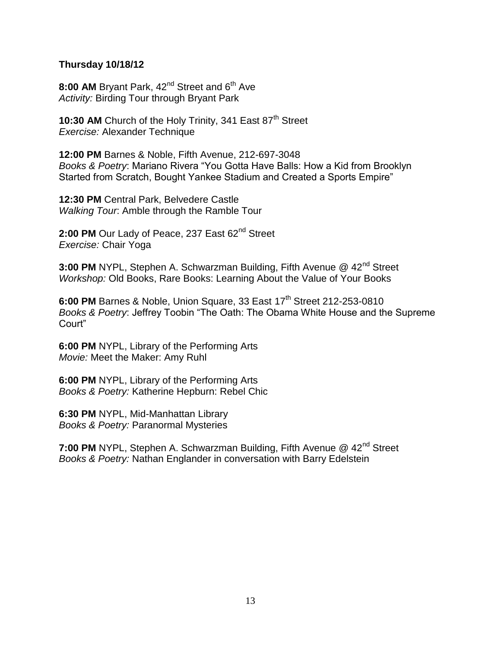## **Thursday 10/18/12**

8:00 AM Bryant Park, 42<sup>nd</sup> Street and 6<sup>th</sup> Ave *Activity:* Birding Tour through Bryant Park

10:30 AM Church of the Holy Trinity, 341 East 87<sup>th</sup> Street *Exercise:* Alexander Technique

**12:00 PM** Barnes & Noble, Fifth Avenue, 212-697-3048 *Books & Poetry*: Mariano Rivera "You Gotta Have Balls: How a Kid from Brooklyn Started from Scratch, Bought Yankee Stadium and Created a Sports Empire"

**12:30 PM** Central Park, Belvedere Castle *Walking Tour*: Amble through the Ramble Tour

2:00 PM Our Lady of Peace, 237 East 62<sup>nd</sup> Street *Exercise:* Chair Yoga

**3:00 PM** NYPL, Stephen A. Schwarzman Building, Fifth Avenue @ 42<sup>nd</sup> Street *Workshop:* Old Books, Rare Books: Learning About the Value of Your Books

**6:00 PM Barnes & Noble, Union Square, 33 East 17<sup>th</sup> Street 212-253-0810** *Books & Poetry*: Jeffrey Toobin "The Oath: The Obama White House and the Supreme Court"

**6:00 PM** NYPL, Library of the Performing Arts *Movie:* Meet the Maker: Amy Ruhl

**6:00 PM** NYPL, Library of the Performing Arts *Books & Poetry:* Katherine Hepburn: Rebel Chic

**6:30 PM** NYPL, Mid-Manhattan Library *Books & Poetry:* Paranormal Mysteries

**7:00 PM** NYPL, Stephen A. Schwarzman Building, Fifth Avenue @ 42<sup>nd</sup> Street *Books & Poetry:* Nathan Englander in conversation with Barry Edelstein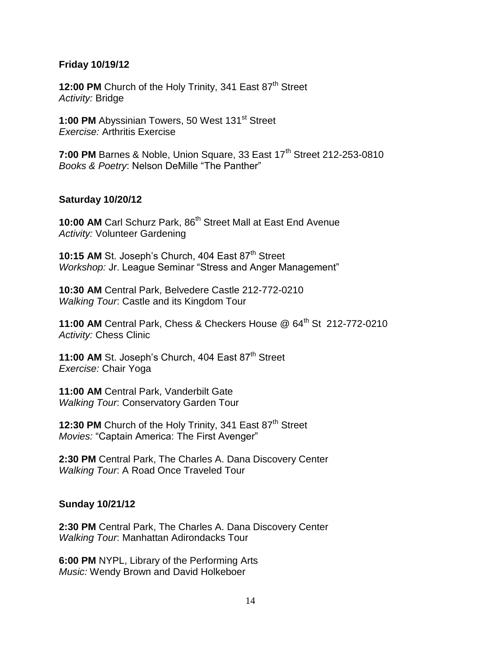### **Friday 10/19/12**

**12:00 PM** Church of the Holy Trinity, 341 East 87<sup>th</sup> Street *Activity:* Bridge

**1:00 PM** Abyssinian Towers, 50 West 131<sup>st</sup> Street *Exercise:* Arthritis Exercise

**7:00 PM** Barnes & Noble, Union Square, 33 East 17<sup>th</sup> Street 212-253-0810 *Books & Poetry*: Nelson DeMille "The Panther"

### **Saturday 10/20/12**

**10:00 AM** Carl Schurz Park, 86<sup>th</sup> Street Mall at East End Avenue *Activity:* Volunteer Gardening

**10:15 AM** St. Joseph's Church, 404 East 87<sup>th</sup> Street *Workshop:* Jr. League Seminar "Stress and Anger Management"

**10:30 AM** Central Park, Belvedere Castle 212-772-0210 *Walking Tour*: Castle and its Kingdom Tour

**11:00 AM** Central Park, Chess & Checkers House @ 64<sup>th</sup> St 212-772-0210 *Activity:* Chess Clinic

11:00 AM St. Joseph's Church, 404 East 87<sup>th</sup> Street *Exercise:* Chair Yoga

**11:00 AM** Central Park, Vanderbilt Gate *Walking Tour*: Conservatory Garden Tour

**12:30 PM** Church of the Holy Trinity, 341 East 87<sup>th</sup> Street *Movies:* "Captain America: The First Avenger"

**2:30 PM** Central Park, The Charles A. Dana Discovery Center *Walking Tour*: A Road Once Traveled Tour

## **Sunday 10/21/12**

**2:30 PM** Central Park, The Charles A. Dana Discovery Center *Walking Tour*: Manhattan Adirondacks Tour

**6:00 PM** NYPL, Library of the Performing Arts *Music:* Wendy Brown and David Holkeboer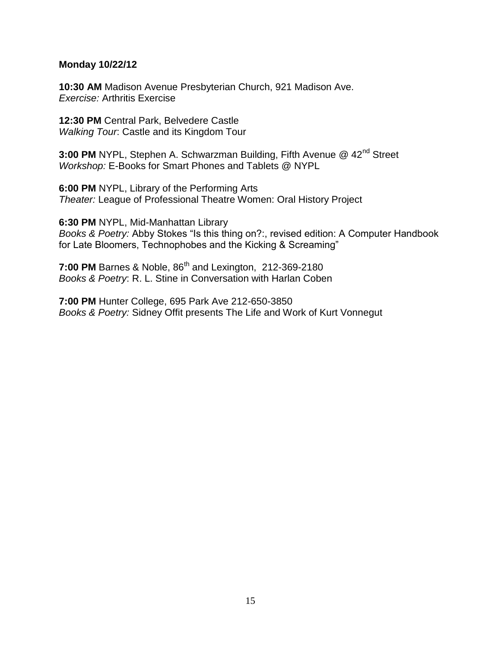## **Monday 10/22/12**

**10:30 AM** Madison Avenue Presbyterian Church, 921 Madison Ave. *Exercise:* Arthritis Exercise

**12:30 PM** Central Park, Belvedere Castle *Walking Tour*: Castle and its Kingdom Tour

**3:00 PM** NYPL, Stephen A. Schwarzman Building, Fifth Avenue @ 42<sup>nd</sup> Street *Workshop:* E-Books for Smart Phones and Tablets @ NYPL

**6:00 PM** NYPL, Library of the Performing Arts *Theater:* League of Professional Theatre Women: Oral History Project

**6:30 PM** NYPL, Mid-Manhattan Library

*Books & Poetry:* Abby Stokes "Is this thing on?:, revised edition: A Computer Handbook for Late Bloomers, Technophobes and the Kicking & Screaming"

**7:00 PM** Barnes & Noble, 86<sup>th</sup> and Lexington, 212-369-2180 *Books & Poetry*: R. L. Stine in Conversation with Harlan Coben

**7:00 PM** Hunter College, 695 Park Ave 212-650-3850 *Books & Poetry:* Sidney Offit presents The Life and Work of Kurt Vonnegut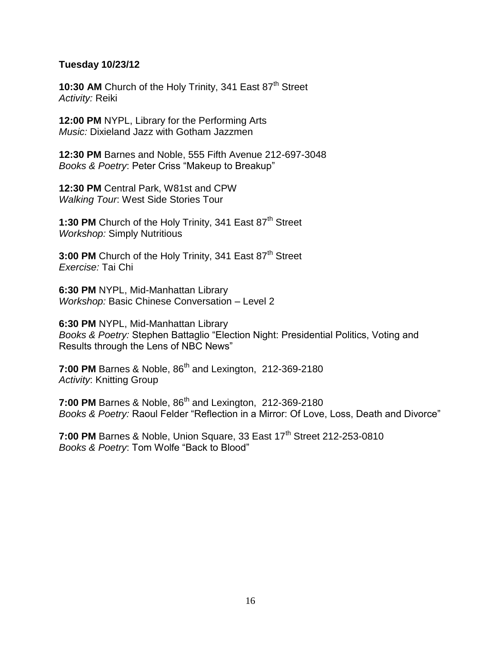# **Tuesday 10/23/12**

**10:30 AM** Church of the Holy Trinity, 341 East 87<sup>th</sup> Street *Activity:* Reiki

**12:00 PM** NYPL, Library for the Performing Arts *Music:* Dixieland Jazz with Gotham Jazzmen

**12:30 PM** Barnes and Noble, 555 Fifth Avenue 212-697-3048 *Books & Poetry*: Peter Criss "Makeup to Breakup"

**12:30 PM** Central Park, W81st and CPW *Walking Tour*: West Side Stories Tour

1:30 PM Church of the Holy Trinity, 341 East 87<sup>th</sup> Street *Workshop:* Simply Nutritious

3:00 PM Church of the Holy Trinity, 341 East 87<sup>th</sup> Street *Exercise:* Tai Chi

**6:30 PM** NYPL, Mid-Manhattan Library *Workshop:* Basic Chinese Conversation – Level 2

**6:30 PM** NYPL, Mid-Manhattan Library *Books & Poetry:* Stephen Battaglio "Election Night: Presidential Politics, Voting and Results through the Lens of NBC News"

**7:00 PM** Barnes & Noble, 86<sup>th</sup> and Lexington, 212-369-2180 *Activity*: Knitting Group

**7:00 PM** Barnes & Noble, 86<sup>th</sup> and Lexington, 212-369-2180 *Books & Poetry:* Raoul Felder "Reflection in a Mirror: Of Love, Loss, Death and Divorce"

**7:00 PM** Barnes & Noble, Union Square, 33 East 17<sup>th</sup> Street 212-253-0810 *Books & Poetry*: Tom Wolfe "Back to Blood"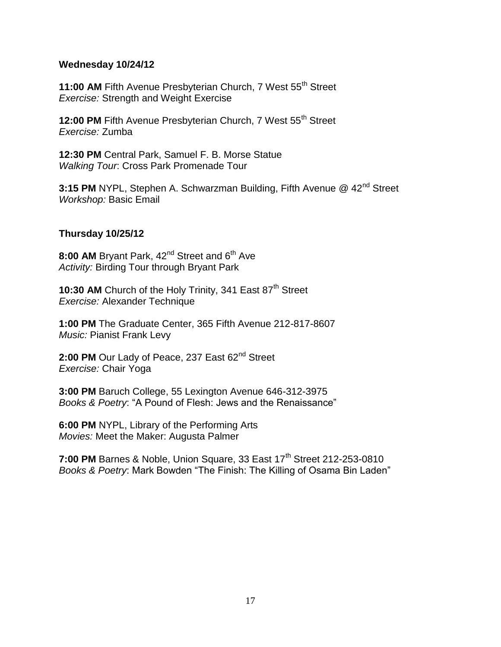## **Wednesday 10/24/12**

11:00 AM Fifth Avenue Presbyterian Church, 7 West 55<sup>th</sup> Street *Exercise:* Strength and Weight Exercise

12:00 PM Fifth Avenue Presbyterian Church, 7 West 55<sup>th</sup> Street *Exercise:* Zumba

**12:30 PM** Central Park, Samuel F. B. Morse Statue *Walking Tour*: Cross Park Promenade Tour

**3:15 PM** NYPL, Stephen A. Schwarzman Building, Fifth Avenue @ 42<sup>nd</sup> Street *Workshop:* Basic Email

# **Thursday 10/25/12**

8:00 AM Bryant Park, 42<sup>nd</sup> Street and 6<sup>th</sup> Ave *Activity:* Birding Tour through Bryant Park

10:30 AM Church of the Holy Trinity, 341 East 87<sup>th</sup> Street *Exercise:* Alexander Technique

**1:00 PM** The Graduate Center, 365 Fifth Avenue 212-817-8607 *Music:* Pianist Frank Levy

2:00 PM Our Lady of Peace, 237 East 62<sup>nd</sup> Street *Exercise:* Chair Yoga

**3:00 PM** Baruch College, 55 Lexington Avenue 646-312-3975 *Books & Poetry*: "A Pound of Flesh: Jews and the Renaissance"

**6:00 PM** NYPL, Library of the Performing Arts *Movies:* Meet the Maker: Augusta Palmer

**7:00 PM** Barnes & Noble, Union Square, 33 East 17<sup>th</sup> Street 212-253-0810 *Books & Poetry*: Mark Bowden "The Finish: The Killing of Osama Bin Laden"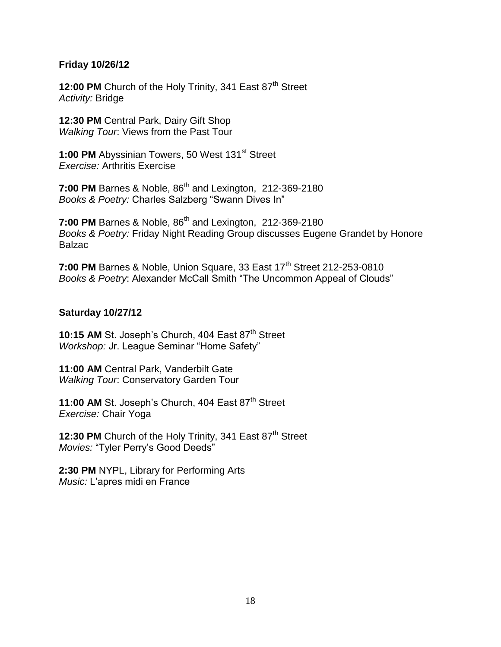# **Friday 10/26/12**

**12:00 PM** Church of the Holy Trinity, 341 East 87<sup>th</sup> Street *Activity:* Bridge

**12:30 PM** Central Park, Dairy Gift Shop *Walking Tour*: Views from the Past Tour

**1:00 PM** Abyssinian Towers, 50 West 131<sup>st</sup> Street *Exercise:* Arthritis Exercise

**7:00 PM** Barnes & Noble, 86<sup>th</sup> and Lexington, 212-369-2180 *Books & Poetry:* Charles Salzberg "Swann Dives In"

**7:00 PM** Barnes & Noble, 86<sup>th</sup> and Lexington, 212-369-2180 *Books & Poetry:* Friday Night Reading Group discusses Eugene Grandet by Honore **Balzac** 

**7:00 PM** Barnes & Noble, Union Square, 33 East 17<sup>th</sup> Street 212-253-0810 *Books & Poetry*: Alexander McCall Smith "The Uncommon Appeal of Clouds"

## **Saturday 10/27/12**

**10:15 AM St. Joseph's Church, 404 East 87th Street** *Workshop:* Jr. League Seminar "Home Safety"

**11:00 AM** Central Park, Vanderbilt Gate *Walking Tour*: Conservatory Garden Tour

11:00 AM St. Joseph's Church, 404 East 87<sup>th</sup> Street *Exercise:* Chair Yoga

**12:30 PM** Church of the Holy Trinity, 341 East 87<sup>th</sup> Street *Movies:* "Tyler Perry's Good Deeds"

**2:30 PM** NYPL, Library for Performing Arts *Music:* L'apres midi en France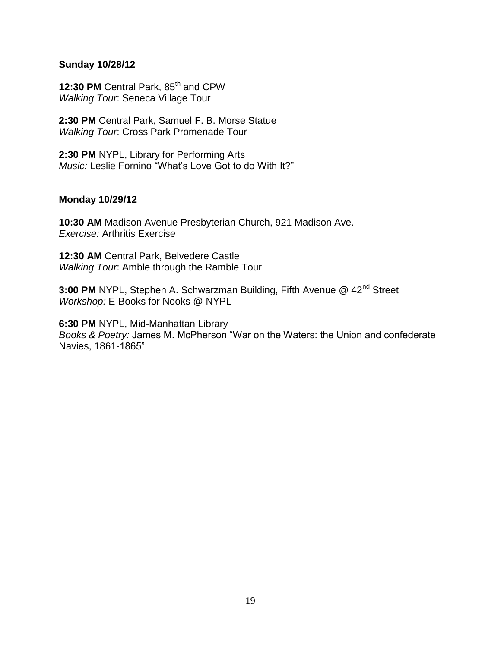## **Sunday 10/28/12**

12:30 PM Central Park, 85<sup>th</sup> and CPW *Walking Tour*: Seneca Village Tour

**2:30 PM** Central Park, Samuel F. B. Morse Statue *Walking Tour*: Cross Park Promenade Tour

**2:30 PM** NYPL, Library for Performing Arts *Music:* Leslie Fornino "What's Love Got to do With It?"

## **Monday 10/29/12**

**10:30 AM** Madison Avenue Presbyterian Church, 921 Madison Ave. *Exercise:* Arthritis Exercise

**12:30 AM** Central Park, Belvedere Castle *Walking Tour*: Amble through the Ramble Tour

**3:00 PM** NYPL, Stephen A. Schwarzman Building, Fifth Avenue @ 42<sup>nd</sup> Street *Workshop:* E-Books for Nooks @ NYPL

**6:30 PM** NYPL, Mid-Manhattan Library *Books & Poetry:* James M. McPherson "War on the Waters: the Union and confederate Navies, 1861-1865"